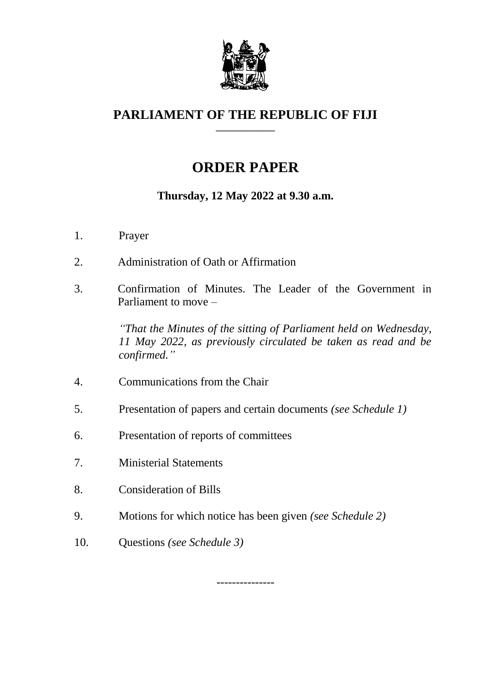

### **PARLIAMENT OF THE REPUBLIC OF FIJI \_\_\_\_\_\_\_\_\_\_\_\_\_**

# **ORDER PAPER**

## **Thursday, 12 May 2022 at 9.30 a.m.**

- 1. Prayer
- 2. Administration of Oath or Affirmation
- 3. Confirmation of Minutes. The Leader of the Government in Parliament to move –

*"That the Minutes of the sitting of Parliament held on Wednesday, 11 May 2022, as previously circulated be taken as read and be confirmed."*

- 4. Communications from the Chair
- 5. Presentation of papers and certain documents *(see Schedule 1)*
- 6. Presentation of reports of committees
- 7. Ministerial Statements
- 8. Consideration of Bills
- 9. Motions for which notice has been given *(see Schedule 2)*
- 10. Questions *(see Schedule 3)*

---------------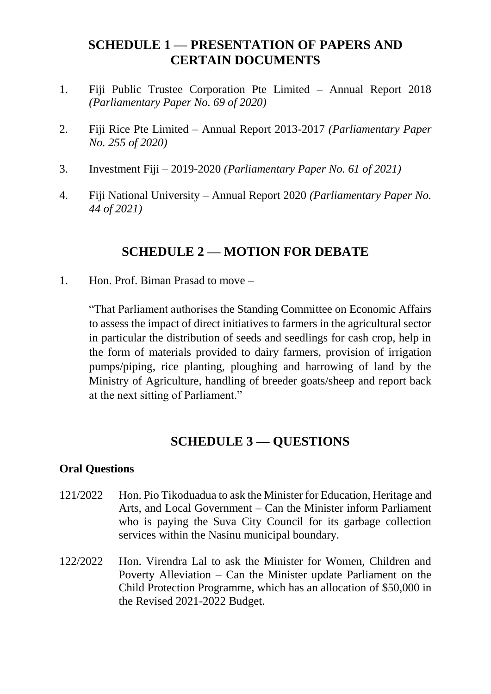## **SCHEDULE 1 — PRESENTATION OF PAPERS AND CERTAIN DOCUMENTS**

- 1. Fiji Public Trustee Corporation Pte Limited Annual Report 2018 *(Parliamentary Paper No. 69 of 2020)*
- 2. Fiji Rice Pte Limited Annual Report 2013-2017 *(Parliamentary Paper No. 255 of 2020)*
- 3. Investment Fiji 2019-2020 *(Parliamentary Paper No. 61 of 2021)*
- 4. Fiji National University Annual Report 2020 *(Parliamentary Paper No. 44 of 2021)*

# **SCHEDULE 2 — MOTION FOR DEBATE**

1. Hon. Prof. Biman Prasad to move –

"That Parliament authorises the Standing Committee on Economic Affairs to assess the impact of direct initiatives to farmers in the agricultural sector in particular the distribution of seeds and seedlings for cash crop, help in the form of materials provided to dairy farmers, provision of irrigation pumps/piping, rice planting, ploughing and harrowing of land by the Ministry of Agriculture, handling of breeder goats/sheep and report back at the next sitting of Parliament."

# **SCHEDULE 3 — QUESTIONS**

#### **Oral Questions**

- 121/2022 Hon. Pio Tikoduadua to ask the Minister for Education, Heritage and Arts, and Local Government – Can the Minister inform Parliament who is paying the Suva City Council for its garbage collection services within the Nasinu municipal boundary.
- 122/2022 Hon. Virendra Lal to ask the Minister for Women, Children and Poverty Alleviation – Can the Minister update Parliament on the Child Protection Programme, which has an allocation of \$50,000 in the Revised 2021-2022 Budget.